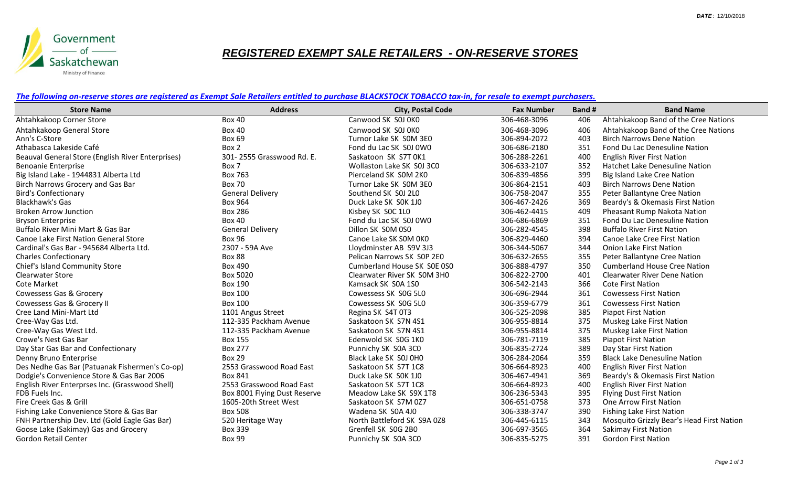

## *REGISTERED EXEMPT SALE RETAILERS - ON-RESERVE STORES*

*The following on-reserve stores are registered as Exempt Sale Retailers entitled to purchase BLACKSTOCK TOBACCO tax-in, for resale to exempt purchasers.*

| <b>Store Name</b>                                 | <b>Address</b>               | <b>City, Postal Code</b>    | <b>Fax Number</b> | Band # | <b>Band Name</b>                          |
|---------------------------------------------------|------------------------------|-----------------------------|-------------------|--------|-------------------------------------------|
| Ahtahkakoop Corner Store                          | <b>Box 40</b>                | Canwood SK S0J 0K0          | 306-468-3096      | 406    | Ahtahkakoop Band of the Cree Nations      |
| Ahtahkakoop General Store                         | <b>Box 40</b>                | Canwood SK S0J 0K0          | 306-468-3096      | 406    | Ahtahkakoop Band of the Cree Nations      |
| Ann's C-Store                                     | <b>Box 69</b>                | Turnor Lake SK SOM 3E0      | 306-894-2072      | 403    | <b>Birch Narrows Dene Nation</b>          |
| Athabasca Lakeside Café                           | Box 2                        | Fond du Lac SK S0J 0W0      | 306-686-2180      | 351    | Fond Du Lac Denesuline Nation             |
| Beauval General Store (English River Enterprises) | 301-2555 Grasswood Rd. E.    | Saskatoon SK S7T 0K1        | 306-288-2261      | 400    | <b>English River First Nation</b>         |
| <b>Benoanie Enterprise</b>                        | Box 7                        | Wollaston Lake SK S0J 3C0   | 306-633-2107      | 352    | Hatchet Lake Denesuline Nation            |
| Big Island Lake - 1944831 Alberta Ltd             | Box 763                      | Pierceland SK SOM 2KO       | 306-839-4856      | 399    | Big Island Lake Cree Nation               |
| Birch Narrows Grocery and Gas Bar                 | <b>Box 70</b>                | Turnor Lake SK SOM 3E0      | 306-864-2151      | 403    | <b>Birch Narrows Dene Nation</b>          |
| <b>Bird's Confectionary</b>                       | <b>General Delivery</b>      | Southend SK S0J 2L0         | 306-758-2047      | 355    | Peter Ballantyne Cree Nation              |
| <b>Blackhawk's Gas</b>                            | Box 964                      | Duck Lake SK SOK 1J0        | 306-467-2426      | 369    | Beardy's & Okemasis First Nation          |
| <b>Broken Arrow Junction</b>                      | <b>Box 286</b>               | Kisbey SK SOC 1L0           | 306-462-4415      | 409    | Pheasant Rump Nakota Nation               |
| <b>Bryson Enterprise</b>                          | <b>Box 40</b>                | Fond du Lac SK S0J 0W0      | 306-686-6869      | 351    | Fond Du Lac Denesuline Nation             |
| Buffalo River Mini Mart & Gas Bar                 | <b>General Delivery</b>      | Dillon SK SOM 0S0           | 306-282-4545      | 398    | <b>Buffalo River First Nation</b>         |
| Canoe Lake First Nation General Store             | <b>Box 96</b>                | Canoe Lake SK SOM OKO       | 306-829-4460      | 394    | Canoe Lake Cree First Nation              |
| Cardinal's Gas Bar - 945684 Alberta Ltd.          | 2307 - 59A Ave               | Lloydminster AB S9V 3J3     | 306-344-5067      | 344    | <b>Onion Lake First Nation</b>            |
| <b>Charles Confectionary</b>                      | <b>Box 88</b>                | Pelican Narrows SK SOP 2E0  | 306-632-2655      | 355    | Peter Ballantyne Cree Nation              |
| Chief's Island Community Store                    | Box 490                      | Cumberland House SK SOE 0S0 | 306-888-4797      | 350    | <b>Cumberland House Cree Nation</b>       |
| <b>Clearwater Store</b>                           | Box 5020                     | Clearwater River SK SOM 3H0 | 306-822-2700      | 401    | <b>Clearwater River Dene Nation</b>       |
| <b>Cote Market</b>                                | <b>Box 190</b>               | Kamsack SK S0A 1S0          | 306-542-2143      | 366    | <b>Cote First Nation</b>                  |
| Cowessess Gas & Grocery                           | <b>Box 100</b>               | Cowessess SK SOG 5L0        | 306-696-2944      | 361    | <b>Cowessess First Nation</b>             |
| Cowessess Gas & Grocery II                        | <b>Box 100</b>               | Cowessess SK SOG 5L0        | 306-359-6779      | 361    | <b>Cowessess First Nation</b>             |
| Cree Land Mini-Mart Ltd                           | 1101 Angus Street            | Regina SK S4T 0T3           | 306-525-2098      | 385    | <b>Piapot First Nation</b>                |
| Cree-Way Gas Ltd.                                 | 112-335 Packham Avenue       | Saskatoon SK S7N 4S1        | 306-955-8814      | 375    | Muskeg Lake First Nation                  |
| Cree-Way Gas West Ltd.                            | 112-335 Packham Avenue       | Saskatoon SK S7N 4S1        | 306-955-8814      | 375    | Muskeg Lake First Nation                  |
| Crowe's Nest Gas Bar                              | <b>Box 155</b>               | Edenwold SK S0G 1K0         | 306-781-7119      | 385    | Piapot First Nation                       |
| Day Star Gas Bar and Confectionary                | <b>Box 277</b>               | Punnichy SK S0A 3C0         | 306-835-2724      | 389    | Day Star First Nation                     |
| Denny Bruno Enterprise                            | <b>Box 29</b>                | Black Lake SK S0J 0H0       | 306-284-2064      | 359    | <b>Black Lake Denesuline Nation</b>       |
| Des Nedhe Gas Bar (Patuanak Fishermen's Co-op)    | 2553 Grasswood Road East     | Saskatoon SK S7T 1C8        | 306-664-8923      | 400    | <b>English River First Nation</b>         |
| Dodgie's Convenience Store & Gas Bar 2006         | <b>Box 841</b>               | Duck Lake SK SOK 1JO        | 306-467-4941      | 369    | Beardy's & Okemasis First Nation          |
| English River Enterprses Inc. (Grasswood Shell)   | 2553 Grasswood Road East     | Saskatoon SK S7T 1C8        | 306-664-8923      | 400    | <b>English River First Nation</b>         |
| FDB Fuels Inc.                                    | Box 8001 Flying Dust Reserve | Meadow Lake SK S9X 1T8      | 306-236-5343      | 395    | <b>Flying Dust First Nation</b>           |
| Fire Creek Gas & Grill                            | 1605-20th Street West        | Saskatoon SK S7M 0Z7        | 306-651-0758      | 373    | <b>One Arrow First Nation</b>             |
| Fishing Lake Convenience Store & Gas Bar          | <b>Box 508</b>               | Wadena SK SOA 4J0           | 306-338-3747      | 390    | <b>Fishing Lake First Nation</b>          |
| FNH Partnership Dev. Ltd (Gold Eagle Gas Bar)     | 520 Heritage Way             | North Battleford SK S9A 0Z8 | 306-445-6115      | 343    | Mosquito Grizzly Bear's Head First Nation |
| Goose Lake (Sakimay) Gas and Grocery              | <b>Box 339</b>               | Grenfell SK SOG 2B0         | 306-697-3565      | 364    | <b>Sakimay First Nation</b>               |
| Gordon Retail Center                              | <b>Box 99</b>                | Punnichy SK S0A 3C0         | 306-835-5275      | 391    | <b>Gordon First Nation</b>                |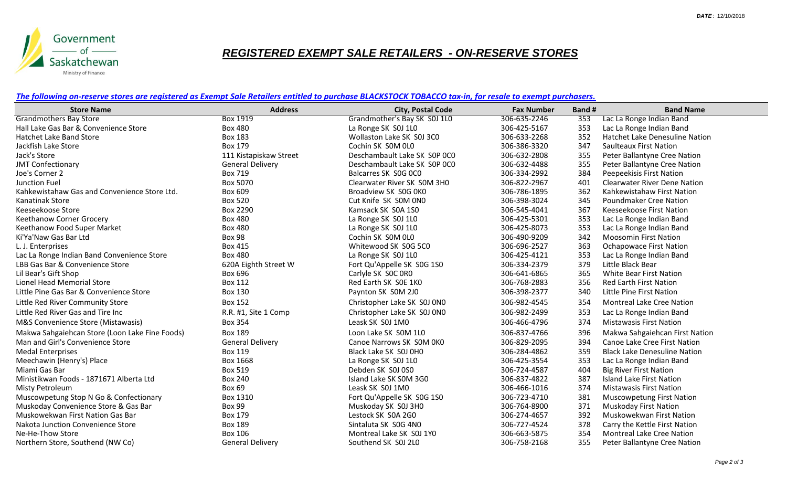

## *REGISTERED EXEMPT SALE RETAILERS - ON-RESERVE STORES*

*The following on-reserve stores are registered as Exempt Sale Retailers entitled to purchase BLACKSTOCK TOBACCO tax-in, for resale to exempt purchasers.*

| <b>Store Name</b>                              | <b>Address</b>          | <b>City, Postal Code</b>     | <b>Fax Number</b> | Band # | <b>Band Name</b>                    |
|------------------------------------------------|-------------------------|------------------------------|-------------------|--------|-------------------------------------|
| <b>Grandmothers Bay Store</b>                  | <b>Box 1919</b>         | Grandmother's Bay SK S0J 1L0 | 306-635-2246      | 353    | Lac La Ronge Indian Band            |
| Hall Lake Gas Bar & Convenience Store          | <b>Box 480</b>          | La Ronge SK SOJ 1L0          | 306-425-5167      | 353    | Lac La Ronge Indian Band            |
| Hatchet Lake Band Store                        | <b>Box 183</b>          | Wollaston Lake SK S0J 3C0    | 306-633-2268      | 352    | Hatchet Lake Denesuline Nation      |
| Jackfish Lake Store                            | <b>Box 179</b>          | Cochin SK SOM OLO            | 306-386-3320      | 347    | <b>Saulteaux First Nation</b>       |
| Jack's Store                                   | 111 Kistapiskaw Street  | Deschambault Lake SK S0P OC0 | 306-632-2808      | 355    | Peter Ballantyne Cree Nation        |
| <b>JMT Confectionary</b>                       | <b>General Delivery</b> | Deschambault Lake SK SOP OCO | 306-632-4488      | 355    | Peter Ballantyne Cree Nation        |
| Joe's Corner 2                                 | <b>Box 719</b>          | Balcarres SK SOG OCO         | 306-334-2992      | 384    | Peepeekisis First Nation            |
| Junction Fuel                                  | Box 5070                | Clearwater River SK SOM 3H0  | 306-822-2967      | 401    | <b>Clearwater River Dene Nation</b> |
| Kahkewistahaw Gas and Convenience Store Ltd.   | Box 609                 | Broadview SK S0G 0K0         | 306-786-1895      | 362    | Kahkewistahaw First Nation          |
| Kanatinak Store                                | <b>Box 520</b>          | Cut Knife SK SOM ONO         | 306-398-3024      | 345    | <b>Poundmaker Cree Nation</b>       |
| Keeseekoose Store                              | Box 2290                | Kamsack SK S0A 1S0           | 306-545-4041      | 367    | Keeseekoose First Nation            |
| Keethanow Corner Grocery                       | <b>Box 480</b>          | La Ronge SK SOJ 1L0          | 306-425-5301      | 353    | Lac La Ronge Indian Band            |
| Keethanow Food Super Market                    | <b>Box 480</b>          | La Ronge SK SOJ 1LO          | 306-425-8073      | 353    | Lac La Ronge Indian Band            |
| Ki'Ya'Naw Gas Bar Ltd                          | <b>Box 98</b>           | Cochin SK SOM OLO            | 306-490-9209      | 342    | <b>Moosomin First Nation</b>        |
| L. J. Enterprises                              | Box 415                 | Whitewood SK S0G 5C0         | 306-696-2527      | 363    | <b>Ochapowace First Nation</b>      |
| Lac La Ronge Indian Band Convenience Store     | <b>Box 480</b>          | La Ronge SK SOJ 1L0          | 306-425-4121      | 353    | Lac La Ronge Indian Band            |
| LBB Gas Bar & Convenience Store                | 620A Eighth Street W    | Fort Qu'Appelle SK S0G 1S0   | 306-334-2379      | 379    | Little Black Bear                   |
| Lil Bear's Gift Shop                           | Box 696                 | Carlyle SK SOC ORO           | 306-641-6865      | 365    | <b>White Bear First Nation</b>      |
| Lionel Head Memorial Store                     | <b>Box 112</b>          | Red Earth SK SOE 1KO         | 306-768-2883      | 356    | Red Earth First Nation              |
| Little Pine Gas Bar & Convenience Store        | <b>Box 130</b>          | Paynton SK SOM 2J0           | 306-398-2377      | 340    | Little Pine First Nation            |
| Little Red River Community Store               | <b>Box 152</b>          | Christopher Lake SK S0J 0N0  | 306-982-4545      | 354    | <b>Montreal Lake Cree Nation</b>    |
| Little Red River Gas and Tire Inc              | R.R. #1, Site 1 Comp    | Christopher Lake SK S0J 0N0  | 306-982-2499      | 353    | Lac La Ronge Indian Band            |
| M&S Convenience Store (Mistawasis)             | <b>Box 354</b>          | Leask SK SOJ 1M0             | 306-466-4796      | 374    | <b>Mistawasis First Nation</b>      |
| Makwa Sahgaiehcan Store (Loon Lake Fine Foods) | <b>Box 189</b>          | Loon Lake SK SOM 1L0         | 306-837-4766      | 396    | Makwa Sahgaiehcan First Nation      |
| Man and Girl's Convenience Store               | <b>General Delivery</b> | Canoe Narrows SK SOM OKO     | 306-829-2095      | 394    | Canoe Lake Cree First Nation        |
| <b>Medal Enterprises</b>                       | <b>Box 119</b>          | Black Lake SK S0J 0H0        | 306-284-4862      | 359    | <b>Black Lake Denesuline Nation</b> |
| Meechawin (Henry's) Place                      | Box 1668                | La Ronge SK SOJ 1L0          | 306-425-3554      | 353    | Lac La Ronge Indian Band            |
| Miami Gas Bar                                  | <b>Box 519</b>          | Debden SK S0J 0S0            | 306-724-4587      | 404    | <b>Big River First Nation</b>       |
| Ministikwan Foods - 1871671 Alberta Ltd        | <b>Box 240</b>          | Island Lake SK SOM 3GO       | 306-837-4822      | 387    | <b>Island Lake First Nation</b>     |
| Misty Petroleum                                | <b>Box 69</b>           | Leask SK SOJ 1M0             | 306-466-1016      | 374    | <b>Mistawasis First Nation</b>      |
| Muscowpetung Stop N Go & Confectionary         | Box 1310                | Fort Qu'Appelle SK S0G 1S0   | 306-723-4710      | 381    | <b>Muscowpetung First Nation</b>    |
| Muskoday Convenience Store & Gas Bar           | <b>Box 99</b>           | Muskoday SK S0J 3H0          | 306-764-8900      | 371    | <b>Muskoday First Nation</b>        |
| Muskowekwan First Nation Gas Bar               | Box 179                 | Lestock SK SOA 2GO           | 306-274-4657      | 392    | Muskowekwan First Nation            |
| Nakota Junction Convenience Store              | <b>Box 189</b>          | Sintaluta SK SOG 4NO         | 306-727-4524      | 378    | Carry the Kettle First Nation       |
| Ne-He-Thow Store                               | <b>Box 106</b>          | Montreal Lake SK S0J 1Y0     | 306-663-5875      | 354    | <b>Montreal Lake Cree Nation</b>    |
| Northern Store, Southend (NW Co)               | <b>General Delivery</b> | Southend SK S0J 2L0          | 306-758-2168      | 355    | Peter Ballantyne Cree Nation        |